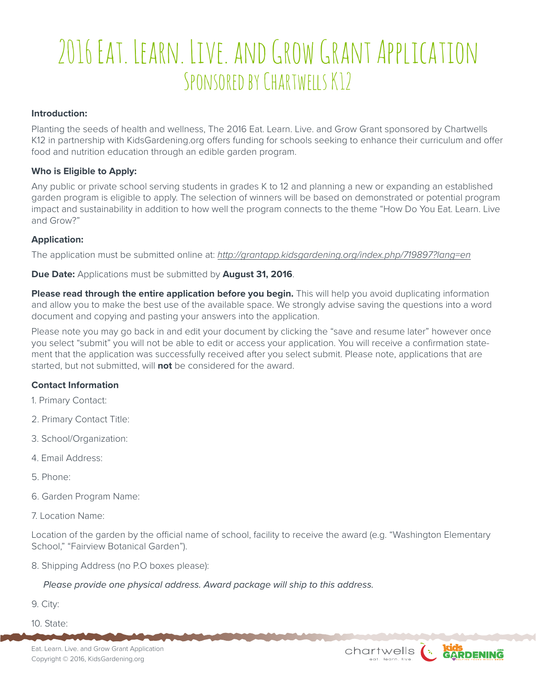# 2016 Eat. Learn. Live. and Grow Grant Application SPONSORED BY CHARTWELLS K12

#### **Introduction:**

Planting the seeds of health and wellness, The 2016 Eat. Learn. Live. and Grow Grant sponsored by Chartwells K12 in partnership with KidsGardening.org offers funding for schools seeking to enhance their curriculum and offer food and nutrition education through an edible garden program.

#### **Who is Eligible to Apply:**

Any public or private school serving students in grades K to 12 and planning a new or expanding an established garden program is eligible to apply. The selection of winners will be based on demonstrated or potential program impact and sustainability in addition to how well the program connects to the theme "How Do You Eat. Learn. Live and Grow?"

#### **Application:**

The application must be submitted online at: *http://grantapp.kidsgardening.org/index.php/719897?lang=en*

#### **Due Date:** Applications must be submitted by **August 31, 2016**.

**Please read through the entire application before you begin.** This will help you avoid duplicating information and allow you to make the best use of the available space. We strongly advise saving the questions into a word document and copying and pasting your answers into the application.

Please note you may go back in and edit your document by clicking the "save and resume later" however once you select "submit" you will not be able to edit or access your application. You will receive a confirmation statement that the application was successfully received after you select submit. Please note, applications that are started, but not submitted, will **not** be considered for the award.

#### **Contact Information**

- 1. Primary Contact:
- 2. Primary Contact Title:
- 3. School/Organization:
- 4. Email Address:
- 5. Phone:
- 6. Garden Program Name:
- 7. Location Name:

Location of the garden by the official name of school, facility to receive the award (e.g. "Washington Elementary School," "Fairview Botanical Garden").

8. Shipping Address (no P.O boxes please):

*Please provide one physical address. Award package will ship to this address.*

9. City:

10. State:

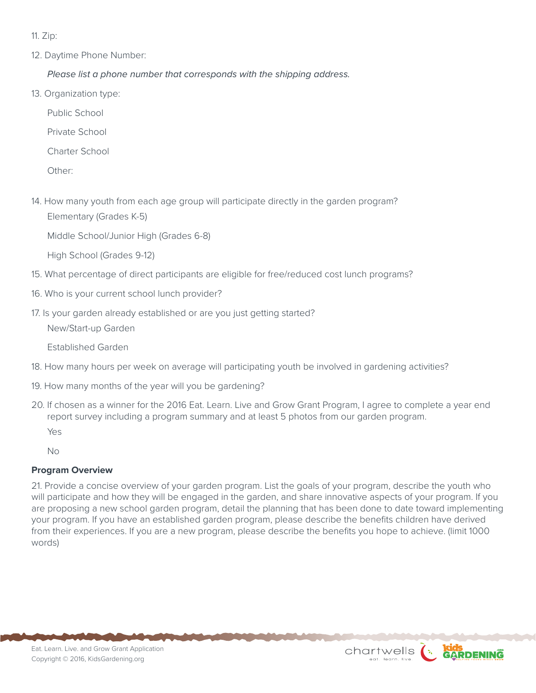11. Zip:

12. Daytime Phone Number:

*Please list a phone number that corresponds with the shipping address.*

13. Organization type:

Public School

- Private School
- Charter School

Other:

14. How many youth from each age group will participate directly in the garden program? Elementary (Grades K-5)

Middle School/Junior High (Grades 6-8)

High School (Grades 9-12)

- 15. What percentage of direct participants are eligible for free/reduced cost lunch programs?
- 16. Who is your current school lunch provider?
- 17. Is your garden already established or are you just getting started?

New/Start-up Garden

Established Garden

- 18. How many hours per week on average will participating youth be involved in gardening activities?
- 19. How many months of the year will you be gardening?
- 20. If chosen as a winner for the 2016 Eat. Learn. Live and Grow Grant Program, I agree to complete a year end report survey including a program summary and at least 5 photos from our garden program. Yes

No

# **Program Overview**

21. Provide a concise overview of your garden program. List the goals of your program, describe the youth who will participate and how they will be engaged in the garden, and share innovative aspects of your program. If you are proposing a new school garden program, detail the planning that has been done to date toward implementing your program. If you have an established garden program, please describe the benefits children have derived from their experiences. If you are a new program, please describe the benefits you hope to achieve. (limit 1000 words)

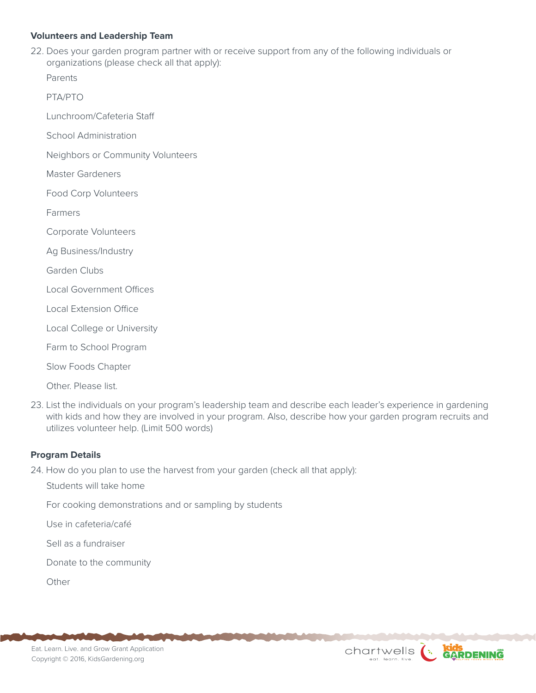# **Volunteers and Leadership Team**

22. Does your garden program partner with or receive support from any of the following individuals or organizations (please check all that apply):

Parents

PTA/PTO

Lunchroom/Cafeteria Staff

School Administration

Neighbors or Community Volunteers

Master Gardeners

Food Corp Volunteers

Farmers

Corporate Volunteers

Ag Business/Industry

Garden Clubs

Local Government Offices

Local Extension Office

Local College or University

Farm to School Program

Slow Foods Chapter

Other. Please list.

23. List the individuals on your program's leadership team and describe each leader's experience in gardening with kids and how they are involved in your program. Also, describe how your garden program recruits and utilizes volunteer help. (Limit 500 words)

### **Program Details**

24. How do you plan to use the harvest from your garden (check all that apply):

Students will take home

For cooking demonstrations and or sampling by students

Use in cafeteria/café

Sell as a fundraiser

Donate to the community

**Other**